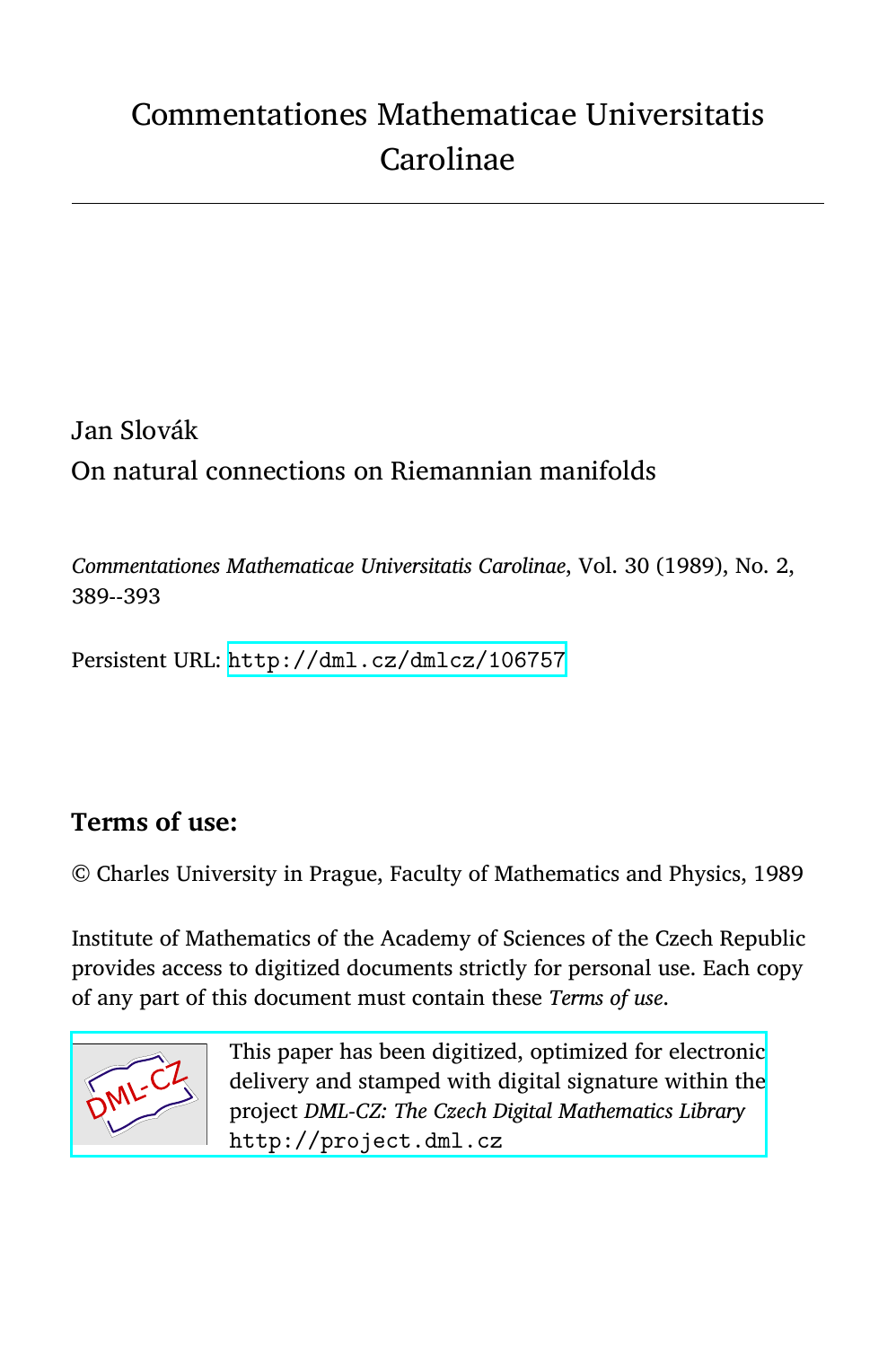# Commentationes Mathematicae Universitatis Carolinae

## Jan Slovák On natural connections on Riemannian manifolds

*Commentationes Mathematicae Universitatis Carolinae*, Vol. 30 (1989), No. 2, 389--393

Persistent URL: <http://dml.cz/dmlcz/106757>

### **Terms of use:**

© Charles University in Prague, Faculty of Mathematics and Physics, 1989

Institute of Mathematics of the Academy of Sciences of the Czech Republic provides access to digitized documents strictly for personal use. Each copy of any part of this document must contain these *Terms of use*.



This paper has been digitized, optimized for electronic [delivery and stamped with digital signature within the](http://project.dml.cz) project *DML-CZ: The Czech Digital Mathematics Library* http://project.dml.cz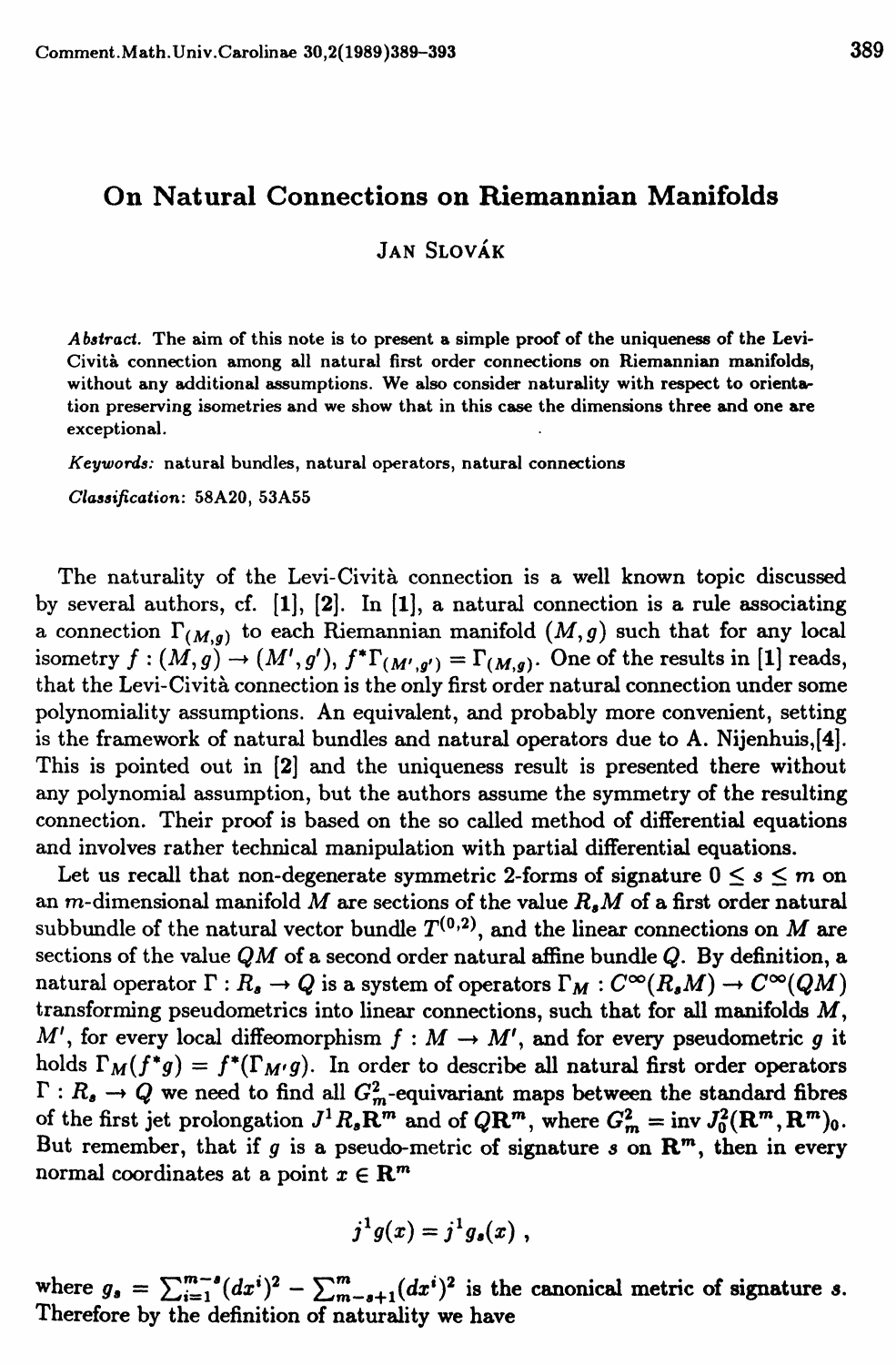### **On Natural Connections on Riemannian Manifolds**

JAN SLOVAK

*A batract.* T**h**e **a**i**m of th**i**s note** i**s to present a s**i**m**pl**e** p**roof of the un**i**queness of the Le**v**i**-Civita **connect**i**on among** all **natura**l **first or**d**er connect**i**ons on R**i**emann**i**an man**i**folds, w**i**thout any a**d**d**i**t**i**ona**l **assum**p**t**i**ons.** W**e a**l**so cons**i**der natura**lit**y** wit**h res**p**ec**t t**o or**i**entat**i**on** p**reser**vi**ng** i**sometr**i**es an**d **we show that** i**n th**i**s case the d**i**mens**i**ons** t**hree and one are except**i**ona**l.

*Keywords:* **natura**l **bun**dl**es, natura**l **o**p**erators, natura**l **connect**i**ons** 

*Claaaification:* **58A20, 53A55** 

The naturality of the Levi-Cività connection is a well known topic discussed by several authors, cf. [1], [2]. In [1], a natural connection is a rule associating a connection  $\Gamma_{(M,g)}$  to each Riemannian manifold  $(M,g)$  such that for any local isometry  $f : (M,g) \to (M',g')$ ,  $f^* \Gamma_{(M',g')} = \Gamma_{(M,g)}$ . One of the results in [1] reads, that the Levi-Civita connection is the only first order natural connection under some polynomiality assumptions. An equivalent, and probably more convenient, setting is the framework of natural bundles and natural operators due to A. Nijenhuis,[4]. This is pointed out in [2] and the uniqueness result is presented there without any polynomial assumption, but the authors assume the symmetry of the resulting connection. Their proof is based on the so called method of differential equations and involves rather technical manipulation with partial differential equations.

Let us recall that non-degenerate symmetric 2-forms of signature  $0 \leq s \leq m$  on an m-dimensional manifold M are sections of the value *RaM* of a first order natural subbundle of the natural vector bundle  $T^{(0,2)}$ , and the linear connections on M are sections of the value *QM* of a second order natural affine bundle *Q.* By definition, a natural operator  $\Gamma: R_{s} \to Q$  is a system of operators  $\Gamma_M: C^{\infty}(R_{s}M) \to C^{\infty}(QM)$ transforming pseudometrics into linear connections, such that for all manifolds  $M$ ,  $M'$ , for every local diffeomorphism  $f : M \to M'$ , and for every pseudometric g it holds  $\Gamma_M(f^*g) = f^*(\Gamma_{M'}g)$ . In order to describe all natural first order operators  $\Gamma: R_{a} \to Q$  we need to find all  $G_{m}^{2}$ -equivariant maps between the standard fibres of the first jet prolongation  $J^1R_s \mathbb{R}^m$  and of  $Q\mathbb{R}^m$ , where  $G_m^2 = \text{inv } J_0^2(\mathbb{R}^m, \mathbb{R}^m)$ . But remember, that if  $g$  is a pseudo-metric of signature  $s$  on  $\mathbb{R}^m$ , then in every normal coordinates at a point  $x \in \mathbb{R}^m$ 

$$
j^1g(x)=j^1g_s(x)\;,
$$

where  $g_s = \sum_{i=1}^{m-s} (dx^i)^2 - \sum_{m-s+1}^{m} (dx^i)^2$  is the canonical metric of signature *s*. Therefore by the definition of naturality we have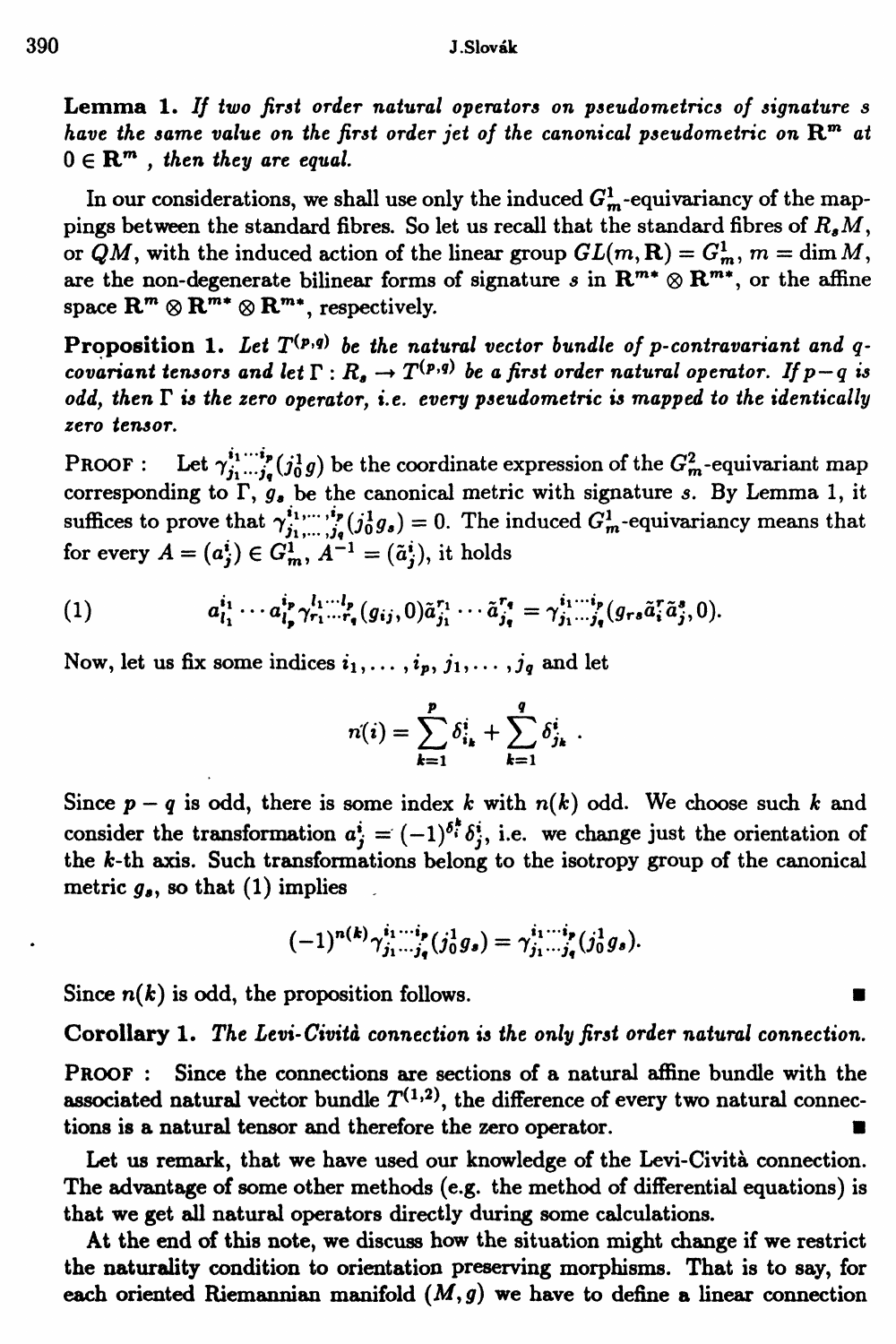**Lemma 1.** *If two first order natural operators on pseudometrics of signature s*  have the same value on the first order jet of the canonical pseudometric on  $\mathbf{R}^{\mathbf{m}}$  at  $0 \in \mathbf{R}^m$ , then they are equal.

In our considerations, we shall use only the induced  $G_m^1$ -equivariancy of the mappings between the standard fibres. So let us recall that the standard fibres of  $R_A M$ , or  $QM$ , with the induced action of the linear group  $GL(m, \mathbf{R}) = G_m^1$ ,  $m = \dim M$ , are the non-degenerate bilinear forms of signature  $s$  in  $\mathbb{R}^{m*} \otimes \mathbb{R}^{m*}$ , or the affine  ${\bf s}$  pace  ${\bf R}^m \otimes {\bf R}^{m*} \otimes {\bf R}^{m*}$ , respectively.

**Proposition 1.** Let  $T^{(p,q)}$  be the natural vector bundle of p-contravariant and  $q$ . *covariant tensors and let*  $\Gamma: R_a \to T^{(p,q)}$  be a first order natural operator. If  $p - q$  is *odd, then T is the zero operator, i.e. every pseudometric is mapped to the identically zero tensor.* 

**PROOF :** Let  $\gamma_{j_1 \cdots j_q}^{i_1 \cdots i_p} (j_0^1 g)$  be the coordinate expression of the  $G_m^2$ -equivariant map corresponding to  $\Gamma$ ,  $g$ <sup>*s*</sup> be the canonical metric with signature *s*. By Lemma 1, it suffices to prove that  $\gamma_{j_1,\ldots,j_q}^{i_1,\ldots,i_p}(j_0^1g_s) = 0$ . The induced  $G_m^1$ -equivariancy means that for every  $A = (a_j^i) \in G_m^1$ ,  $A^{-1} = (\tilde{a}_j^i)$ , it holds

(1) 
$$
a_{i_1}^{i_1}\cdots a_{i_p}^{i_p}\gamma_{r_1\cdots r_q}^{l_1\cdots l_p}(g_{ij},0)\tilde{a}_{j_1}^{r_1}\cdots \tilde{a}_{j_q}^{r_q}=\gamma_{j_1\cdots j_q}^{i_1\cdots i_p}(g_{r\delta}\tilde{a}_i^r\tilde{a}_j^s,0).
$$

Now, let us fix some indices  $i_1, \ldots, i_p, j_1, \ldots, j_q$  and let

$$
n(i) = \sum_{k=1}^{p} \delta_{i_k}^{i} + \sum_{k=1}^{q} \delta_{j_k}^{i}
$$

Since  $p - q$  is odd, there is some index *k* with  $n(k)$  odd. We choose such *k* and consider the transformation  $a_i^i = (-1)^{\delta_i^k} \delta_i^i$ , i.e. we change just the orientation of **the fc-th ax**i**s. Such transformat**i**ons belong to the** i**sotrop**y **group of the canon**i**cal**  metric  $g_{\rho}$ , so that (1) implies

$$
(-1)^{n(k)}\gamma_{j_1\cdots j_q}^{i_1\cdots i_p}(j_0^1g_s)=\gamma_{j_1\cdots j_q}^{i_1\cdots i_p}(j_0^1g_s).
$$

Since  $n(k)$  is odd, the proposition follows.

**Corollary 1.** *The Levi-Civita connection is the only first order natural connection.* 

**PROOF : S**i**nce the connect**i**ons are sect**i**ons of a natural affine bundle w**i**th the**  associated natural vector bundle  $T^{(1,2)}$ , the difference of every two natural connections is a natural tensor and therefore the zero operator.

**Let us remark, that we have used our knowledge of the Lev**i**-C**i**v**i**ta connect**i**on. The advantage of some other methods (e.g. the method of d**i**fferent**i**al e**q**uat**i**ons)** i**s that we get al**l **natural operators d**i**rectl**y **dur**i**ng some calculat**i**ons.** 

**At the end of this note, we d**i**scuss how the s**i**tuat**i**on might change** i**f we restr**i**ct the natural**i**t**y **cond**i**t**i**on to orientat**i**on preserv**i**ng morph**i**sms. That** i**s to sa**y**, for**  each oriented Riemannian manifold  $(M, g)$  we have to define a linear connection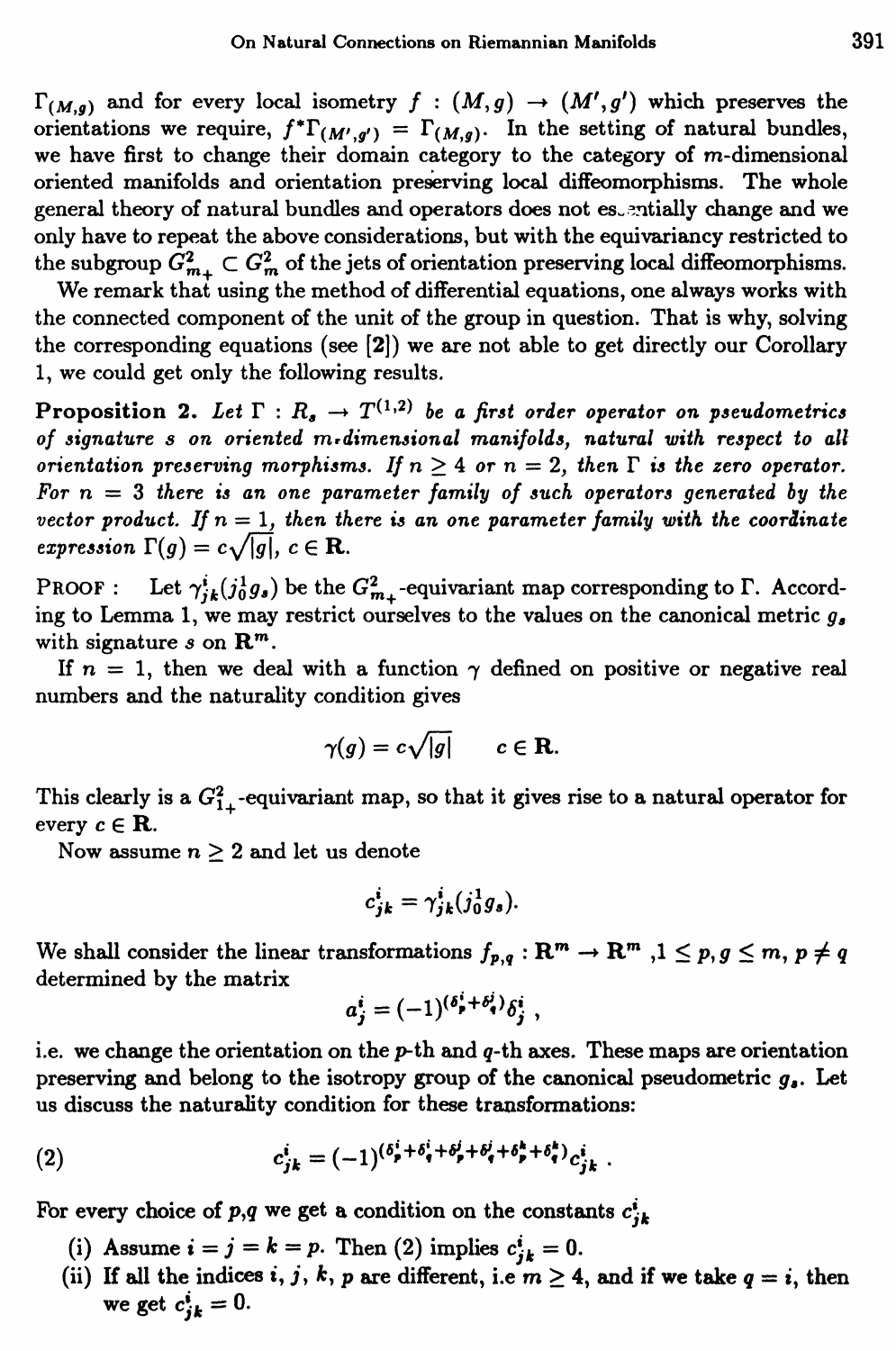$\Gamma_{(M,g)}$  and for every local isometry  $f : (M,g) \to (M',g')$  which preserves the orientations we require,  $f^* \Gamma_{(M',g')} = \Gamma_{(M,g)}$ . In the setting of natural bundles, we have first to change their domain category to the category of m-dimensional oriented manifolds and orientation preserving local diffeomorphisms. The whole general theory of natural bundles and operators does not estentially change and we only have to repeat the above considerations, but with the equivariancy restricted to the subgroup  $G_{m_+}^2 \subset G_m^2$  of the jets of orientation preserving local diffeomorphisms.

We remark that using the method of differential equations, one always works with the connected component of the unit of the group in question. That is why, solving the corresponding equations (see [2]) we are not able to get directly our Corollary 1, we could get only the following results.

**Proposition 2.** Let  $\Gamma: R_a \to T^{(1,2)}$  be a first order operator on pseudometrics *of signature s on oriented m\*dimensional manifolds, natural with respect to all orientation preserving morphisms. If*  $n > 4$  *or*  $n = 2$ *, then*  $\Gamma$  *is the zero operator.* For  $n = 3$  there is an one parameter family of such operators generated by the *vector product.* If  $n = 1$ , then there is an one parameter family with the coordinate *expression*  $\Gamma(g) = c\sqrt{|g|}, c \in \mathbf{R}$ .

PROOF : Let  $\gamma^i_{jk}(j_0^1g_s)$  be the  $G^2_{m}$ -equivariant map corresponding to  $\Gamma$ . According to Lemma 1, we may restrict ourselves to the values on the canonical metric  $q_a$ with signature  $s$  on  $\mathbb{R}^m$ .

If  $n = 1$ , then we deal with a function  $\gamma$  defined on positive or negative real numbers and the naturality condition gives

$$
\gamma(g) = c\sqrt{|g|} \qquad c \in \mathbf{R}.
$$

This clearly is a  $G_{1}^2$ -equivariant map, so that it gives rise to a natural operator for every  $c \in \mathbf{R}$ .

Now assume  $n \geq 2$  and let us denote

$$
c_{jk}^i = \gamma_{jk}^i(j_0^1g_s).
$$

We shall consider the linear transformations  $f_{p,q}: \mathbb{R}^m \to \mathbb{R}^m$  ,  $1 \leq p, g \leq m, p \neq q$ determined by the matrix

$$
a_j^i = (-1)^{(\delta_p^i + \delta_q^j)} \delta_j^i \ ,
$$

i.e. we change the orientation on the  $p$ -th and  $q$ -th axes. These maps are orientation preserving and belong to the isotropy group of the canonical pseudometric *ga.* Let us discuss the naturality condition for these transformations:

(2) 
$$
c_{jk}^{i} = (-1)^{(\delta_{p}^{i} + \delta_{q}^{i} + \delta_{p}^{i} + \delta_{p}^{k} + \delta_{p}^{k} + \delta_{q}^{k})} c_{jk}^{i}.
$$

For every choice of p,q we get a condition on the constants  $c_{ik}^i$ 

- (i) Assume  $i = j = k = p$ . Then (2) implies  $c_{jk}^i = 0$ .
- (ii) If all the indices *i*, *j*, *k*, *p* are different, i.e  $m \geq 4$ , and if we take  $q = i$ , then we get  $c_{jk}^i = 0$ .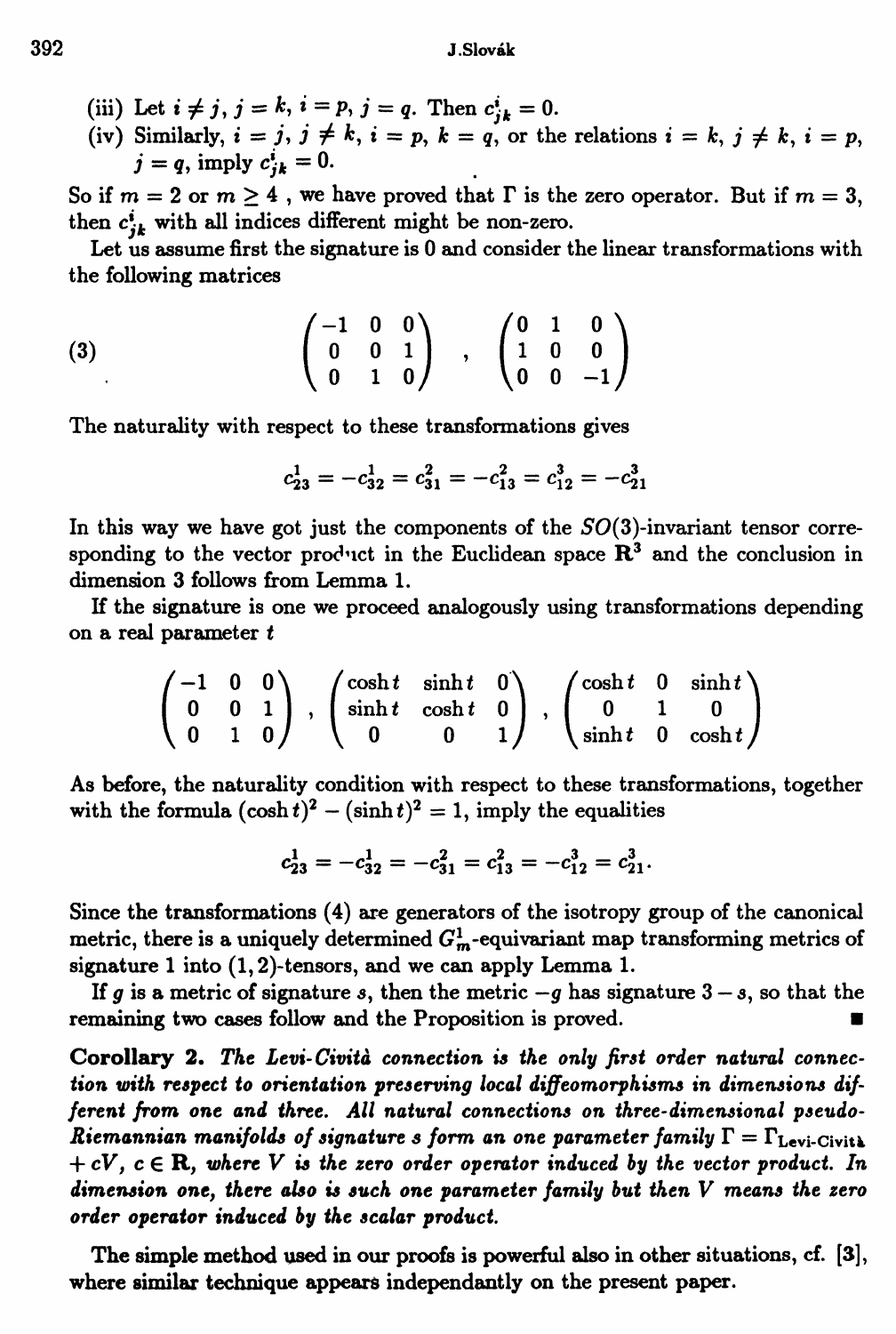- 
- (iii) Let  $i \neq j$ ,  $j = k$ ,  $i = p$ ,  $j = q$ . Then  $c_{jk}^i = 0$ .<br>(iv) Similarly,  $i = j$ ,  $j \neq k$ ,  $i = p$ ,  $k = q$ , or the relations  $i = k$ ,  $j \neq k$ ,  $i = p$ ,  $i = q$ , imply  $c_{ik}^i = 0$ .

So if  $m = 2$  or  $m \ge 4$ , we have proved that  $\Gamma$  is the zero operator. But if  $m = 3$ , then  $c_{ik}^i$  with all indices different might be non-zero.

Let us assume first the signature is 0 and consider the linear transformations with the following matrices

$$
(3) \qquad \qquad \begin{pmatrix} -1 & 0 & 0 \\ 0 & 0 & 1 \\ 0 & 1 & 0 \end{pmatrix} , \quad \begin{pmatrix} 0 & 1 & 0 \\ 1 & 0 & 0 \\ 0 & 0 & -1 \end{pmatrix}
$$

The naturality with respect to these transformations gives

$$
c_{23}^1 = -c_{32}^1 = c_{31}^2 = -c_{13}^2 = c_{12}^3 = -c_{21}^3
$$

In this way we have got just the components of the  $SO(3)$ -invariant tensor corresponding to the vector product in the Euclidean space  $\mathbb{R}^3$  and the conclusion in dimension 3 follows from Lemma 1.

If the signature is one we proceed analogously using transformations depending on a real parameter t

$$
\begin{pmatrix}\n-1 & 0 & 0 \\
0 & 0 & 1 \\
0 & 1 & 0\n\end{pmatrix}, \begin{pmatrix}\n\cosh t & \sinh t & 0 \\
\sinh t & \cosh t & 0 \\
0 & 0 & 1\n\end{pmatrix}, \begin{pmatrix}\n\cosh t & 0 & \sinh t \\
0 & 1 & 0 \\
\sinh t & 0 & \cosh t\n\end{pmatrix}
$$

As before, the naturality condition with respect to these transformations, together with the formula  $(\cosh t)^2 - (\sinh t)^2 = 1$ , imply the equalities

$$
c_{23}^1 = -c_{32}^1 = -c_{31}^2 = c_{13}^2 = -c_{12}^3 = c_{21}^3.
$$

Since the transformations (4) are generators of the isotropy group of the canonical metric, there is a uniquely determined  $G_m^1$ -equivariant map transforming metrics of signature 1 into  $(1, 2)$ -tensors, and we can apply Lemma 1.

If g is a metric of signature s, then the metric  $-g$  has signature  $3-s$ , so that the remaining two cases follow and the Proposition is proved.

Corollary 2. The Levi-Cività connection is the only first order natural connection with respect to orientation preserving local diffeomorphisms in dimensions different from one and three. All natural connections on three-dimensional pseudo-Riemannian manifolds of signature s form an one parameter family  $\Gamma = \Gamma_{\text{Levi-Civit\&}}$  $+cV, c \in \mathbb{R}$ , where V is the zero order operator induced by the vector product. In dimension one, there also is such one parameter family but then  $V$  means the zero order operator induced by the scalar product.

The simple method used in our proofs is powerful also in other situations, cf. [3], where similar technique appears independantly on the present paper.